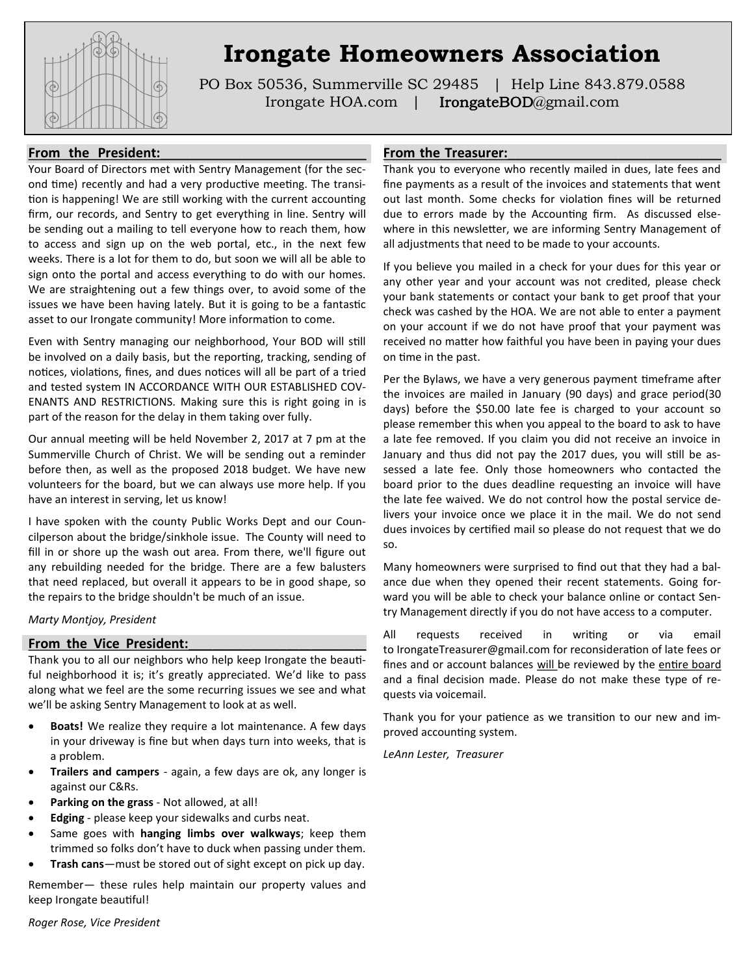

# **Irongate Homeowners Association**

PO Box 50536, Summerville SC 29485 | Help Line 843.879.0588 Irongate HOA.com | **IrongateBOD**@gmail.com

#### From the President:

Your Board of Directors met with Sentry Management (for the second time) recently and had a very productive meeting. The transition is happening! We are still working with the current accounting firm, our records, and Sentry to get everything in line. Sentry will be sending out a mailing to tell everyone how to reach them, how to access and sign up on the web portal, etc., in the next few weeks. There is a lot for them to do, but soon we will all be able to sign onto the portal and access everything to do with our homes. We are straightening out a few things over, to avoid some of the issues we have been having lately. But it is going to be a fantastic asset to our Irongate community! More information to come.

Even with Sentry managing our neighborhood, Your BOD will still be involved on a daily basis, but the reporting, tracking, sending of notices, violations, fines, and dues notices will all be part of a tried and tested system IN ACCORDANCE WITH OUR ESTABLISHED COV-ENANTS AND RESTRICTIONS. Making sure this is right going in is part of the reason for the delay in them taking over fully.

Our annual meeting will be held November 2, 2017 at 7 pm at the Summerville Church of Christ. We will be sending out a reminder before then, as well as the proposed 2018 budget. We have new volunteers for the board, but we can always use more help. If you have an interest in serving, let us know!

I have spoken with the county Public Works Dept and our Councilperson about the bridge/sinkhole issue. The County will need to fill in or shore up the wash out area. From there, we'll figure out any rebuilding needed for the bridge. There are a few balusters that need replaced, but overall it appears to be in good shape, so the repairs to the bridge shouldn't be much of an issue.

*Marty Montjoy, President*

#### From the Vice President:

Thank you to all our neighbors who help keep Irongate the beautiful neighborhood it is; it's greatly appreciated. We'd like to pass along what we feel are the some recurring issues we see and what we'll be asking Sentry Management to look at as well.

- **Boats!** We realize they require a lot maintenance. A few days in your driveway is fine but when days turn into weeks, that is a problem.
- **Trailers and campers**  again, a few days are ok, any longer is against our C&Rs.
- **Parking on the grass**  Not allowed, at all!
- **Edging** please keep your sidewalks and curbs neat.
- Same goes with **hanging limbs over walkways**; keep them trimmed so folks don't have to duck when passing under them.
- **Trash cans**—must be stored out of sight except on pick up day.

Remember— these rules help maintain our property values and keep Irongate beautiful!

### From the Treasurer:

Thank you to everyone who recently mailed in dues, late fees and fine payments as a result of the invoices and statements that went out last month. Some checks for violation fines will be returned due to errors made by the Accounting firm. As discussed elsewhere in this newsletter, we are informing Sentry Management of all adjustments that need to be made to your accounts.

If you believe you mailed in a check for your dues for this year or any other year and your account was not credited, please check your bank statements or contact your bank to get proof that your check was cashed by the HOA. We are not able to enter a payment on your account if we do not have proof that your payment was received no matter how faithful you have been in paying your dues on time in the past.

Per the Bylaws, we have a very generous payment timeframe after the invoices are mailed in January (90 days) and grace period(30 days) before the \$50.00 late fee is charged to your account so please remember this when you appeal to the board to ask to have a late fee removed. If you claim you did not receive an invoice in January and thus did not pay the 2017 dues, you will still be assessed a late fee. Only those homeowners who contacted the board prior to the dues deadline requesting an invoice will have the late fee waived. We do not control how the postal service delivers your invoice once we place it in the mail. We do not send dues invoices by certified mail so please do not request that we do so.

Many homeowners were surprised to find out that they had a balance due when they opened their recent statements. Going forward you will be able to check your balance online or contact Sentry Management directly if you do not have access to a computer.

All requests received in writing or via email to IrongateTreasurer@gmail.com for reconsideration of late fees or fines and or account balances will be reviewed by the entire board and a final decision made. Please do not make these type of requests via voicemail.

Thank you for your patience as we transition to our new and improved accounting system.

*LeAnn Lester, Treasurer*